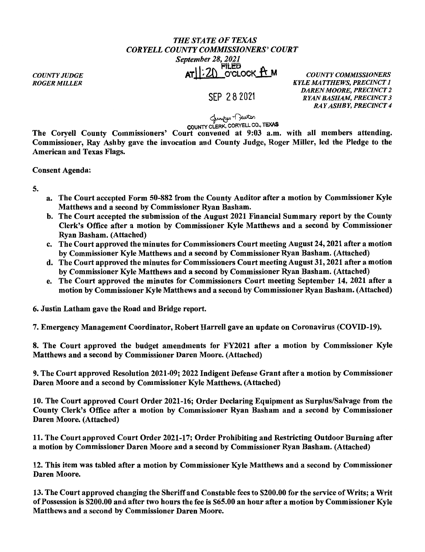## *THE STATE OF TEXAS CORYELLCOUNTYCOMMISSIONERS'COURT September 28, 2021*  Piled AT<sub>1</sub> 2) O'CLOCK **IT M** *COUNTY COMMISSIONERS*

*COUNTY JUDGE ROGER MILLER* 

SEP 2 8 2021

*KYLE MATTHEWS, PRECINCT 1 DAREN MOORE, PRECINCT 2 RYAN BASHAM, PRECINCT 3 RAY ASHBY, PRECINCT 4* 

لمسلمه -<br>COUNTY CLERK, CORYELL CO., TEXAS

The Coryell County Commissioners' Court convened at 9:03 a.m. with all members attending. Commissioner, Ray Ashby gave the invocation and County Judge, Roger Miller, led the Pledge to the American and Texas Flags.

Consent Agenda:

5.

- a. The Court accepted Form 50-882 from the County Auditor after a motion by Commissioner Kyle Matthews and a second by Commissioner Ryan Basham.
- b. The Court accepted the submission of the August 2021 Financial Summary report by the County Clerk's Office after a motion by Commissioner Kyle Matthews and a second by Commissioner Ryan Basham. (Attached)
- c. The Court approved the minutes for Commissioners Court meeting August 24, 2021 after a motion by Commissioner Kyle Matthews and a second by Commissioner Ryan Basham. (Attached)
- d. The Court approved the minutes for Commissioners Court meeting August 31, 2021 after a motion by Commissioner Kyle Matthews and a second by Commissioner Ryan Basham. (Attached)
- e. The Court approved the minutes for Commissioners Court meeting September 14, 2021 after a motion by Commissioner Kyle Matthews and a second by Commissioner Ryan Basham. (Attached)

6. Justin Latham gave the Road and Bridge report.

7. Emergency Management Coordinator, Robert Harrell gave an update on Coronavirus (COVID-19).

8. The Court approved the budget amendments for FY2021 after a motion by Commissioner Kyle Matthews and a second by Commissioner Daren Moore. (Attached)

9. The Court approved Resolution 2021-09; 2022 Indigent Defense Grant after a motion by Commissioner Daren Moore and a second by Commissioner Kyle Matthews. (Attached)

10. The Court approved Court Order 2021-16; Order Declaring Equipment as Surplus/Salvage from the County Clerk's Office after a motion by Commissioner Ryan Basham and a second by Commissioner Daren Moore. (Attached)

11. The Court approved Court Order 2021-17; Order Prohibiting and Restricting Outdoor Burning after a motion by Commissioner Daren Moore and a second by Commissioner Ryan Basham. (Attached)

12. This item was tabled after a motion by Commissioner Kyle Matthews and a second by Commissioner Daren Moore.

13. The Court approved changing the Sheriff and Constable fees to \$200.00 for the service of Writs; a Writ of Possession is \$200.00 and after two hours the fee is \$65.00 an hour after a motion by Commissioner Kyle Matthews and a second by Commissioner Daren Moore.